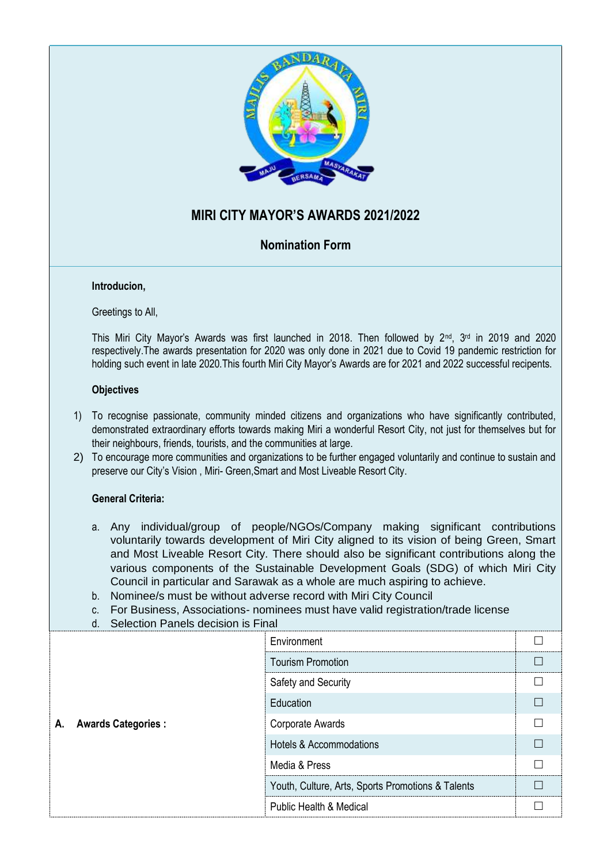

# **MIRI CITY MAYOR'S AWARDS 2021/2022**

### **Nomination Form**

#### **Introducion,**

Greetings to All,

This Miri City Mayor's Awards was first launched in 2018. Then followed by 2<sup>nd</sup>, 3<sup>rd</sup> in 2019 and 2020 respectively.The awards presentation for 2020 was only done in 2021 due to Covid 19 pandemic restriction for holding such event in late 2020.This fourth Miri City Mayor's Awards are for 2021 and 2022 successful recipents.

#### **Objectives**

- 1) To recognise passionate, community minded citizens and organizations who have significantly contributed, demonstrated extraordinary efforts towards making Miri a wonderful Resort City, not just for themselves but for their neighbours, friends, tourists, and the communities at large.
- 2) To encourage more communities and organizations to be further engaged voluntarily and continue to sustain and preserve our City's Vision , Miri- Green,Smart and Most Liveable Resort City.

#### **General Criteria:**

- a. Any individual/group of people/NGOs/Company making significant contributions voluntarily towards development of Miri City aligned to its vision of being Green, Smart and Most Liveable Resort City. There should also be significant contributions along the various components of the Sustainable Development Goals (SDG) of which Miri City Council in particular and Sarawak as a whole are much aspiring to achieve.
- b. Nominee/s must be without adverse record with Miri City Council
- c. For Business, Associations- nominees must have valid registration/trade license
- d. Selection Panels decision is Final

| <b>Awards Categories:</b><br>Α. | Environment                                       |  |
|---------------------------------|---------------------------------------------------|--|
|                                 | <b>Tourism Promotion</b>                          |  |
|                                 | Safety and Security                               |  |
|                                 | Education                                         |  |
|                                 | Corporate Awards                                  |  |
|                                 | <b>Hotels &amp; Accommodations</b>                |  |
|                                 | Media & Press                                     |  |
|                                 | Youth, Culture, Arts, Sports Promotions & Talents |  |
|                                 | <b>Public Health &amp; Medical</b>                |  |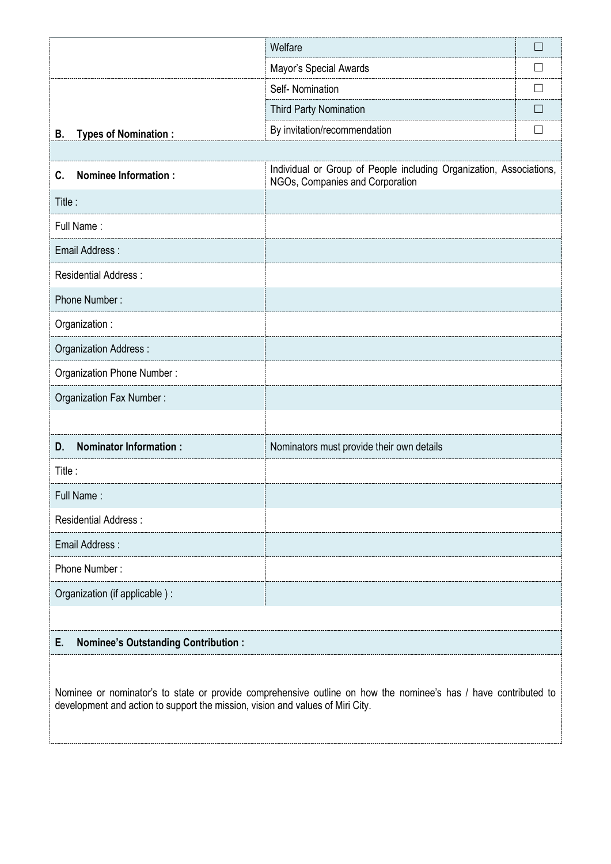|                                     | Welfare                                                                                                | $\Box$       |
|-------------------------------------|--------------------------------------------------------------------------------------------------------|--------------|
|                                     | Mayor's Special Awards                                                                                 | $\perp$      |
|                                     | Self-Nomination                                                                                        | $\Box$       |
|                                     | <b>Third Party Nomination</b>                                                                          |              |
| <b>Types of Nomination:</b><br>В.   | By invitation/recommendation                                                                           | $\mathsf{L}$ |
|                                     |                                                                                                        |              |
| <b>Nominee Information:</b><br>C.   | Individual or Group of People including Organization, Associations,<br>NGOs, Companies and Corporation |              |
| Title:                              |                                                                                                        |              |
| Full Name:                          |                                                                                                        |              |
| Email Address:                      |                                                                                                        |              |
| <b>Residential Address:</b>         |                                                                                                        |              |
| Phone Number:                       |                                                                                                        |              |
| Organization:                       |                                                                                                        |              |
| Organization Address:               |                                                                                                        |              |
| Organization Phone Number:          |                                                                                                        |              |
| Organization Fax Number:            |                                                                                                        |              |
|                                     |                                                                                                        |              |
| <b>Nominator Information:</b><br>D. | Nominators must provide their own details                                                              |              |
| Title:                              |                                                                                                        |              |
| Full Name:                          |                                                                                                        |              |
| <b>Residential Address:</b>         |                                                                                                        |              |
| Email Address:                      |                                                                                                        |              |
| Phone Number:                       |                                                                                                        |              |
| Organization (if applicable) :      |                                                                                                        |              |
|                                     |                                                                                                        |              |

## **E. Nominee's Outstanding Contribution :**

Nominee or nominator's to state or provide comprehensive outline on how the nominee's has / have contributed to development and action to support the mission, vision and values of Miri City.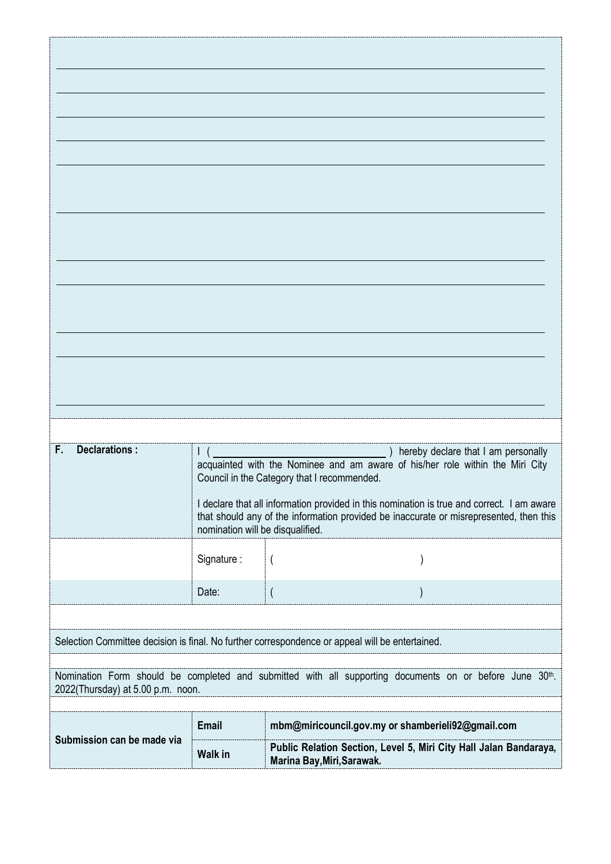| Declarations:<br>F.                                                                                                                          | $\mathsf{I}$ (                   | hereby declare that I am personally<br>acquainted with the Nominee and am aware of his/her role within the Miri City<br>Council in the Category that I recommended.                  |  |
|----------------------------------------------------------------------------------------------------------------------------------------------|----------------------------------|--------------------------------------------------------------------------------------------------------------------------------------------------------------------------------------|--|
|                                                                                                                                              | nomination will be disqualified. | I declare that all information provided in this nomination is true and correct. I am aware<br>that should any of the information provided be inaccurate or misrepresented, then this |  |
|                                                                                                                                              | Signature:                       | $\overline{(}$                                                                                                                                                                       |  |
|                                                                                                                                              | Date:                            | $\overline{\phantom{a}}$                                                                                                                                                             |  |
|                                                                                                                                              |                                  |                                                                                                                                                                                      |  |
| Selection Committee decision is final. No further correspondence or appeal will be entertained.                                              |                                  |                                                                                                                                                                                      |  |
| Nomination Form should be completed and submitted with all supporting documents on or before June 30th.<br>2022(Thursday) at 5.00 p.m. noon. |                                  |                                                                                                                                                                                      |  |
| Submission can be made via                                                                                                                   | Email                            | mbm@miricouncil.gov.my or shamberieli92@gmail.com                                                                                                                                    |  |
|                                                                                                                                              | <b>Walk in</b>                   | Public Relation Section, Level 5, Miri City Hall Jalan Bandaraya,<br>Marina Bay, Miri, Sarawak.                                                                                      |  |